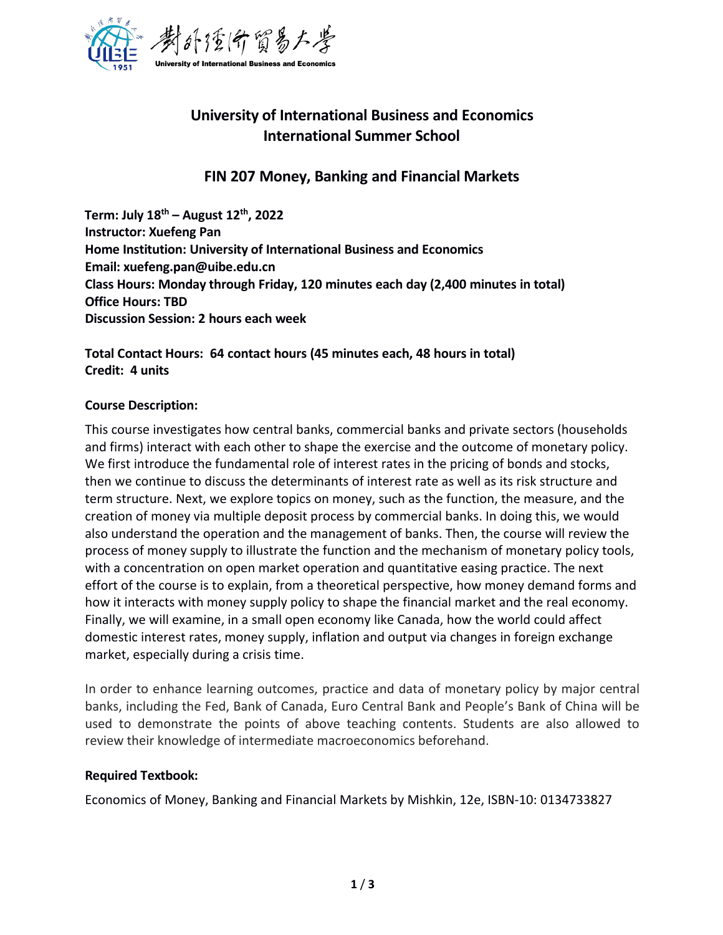

# **University of International Business and Economics International Summer School**

# **FIN 207 Money, Banking and Financial Markets**

**Term: July 18 th – August 12 th , 2022 Instructor: Xuefeng Pan Home Institution: University of International Business and Economics Email: xuefeng.pan@uibe.edu.cn Class Hours: Monday through Friday, 120 minutes each day (2,400 minutes in total) Office Hours: TBD Discussion Session: 2 hours each week**

# **Total Contact Hours: 64 contact hours (45 minutes each, 48 hours in total) Credit: 4 units**

## **Course Description:**

This course investigates how central banks, commercial banks and private sectors (households and firms) interact with each other to shape the exercise and the outcome of monetary policy. We first introduce the fundamental role of interest rates in the pricing of bonds and stocks, then we continue to discuss the determinants of interest rate as well as its risk structure and term structure. Next, we explore topics on money, such as the function, the measure, and the creation of money via multiple deposit process by commercial banks. In doing this, we would also understand the operation and the management of banks. Then, the course will review the process of money supply to illustrate the function and the mechanism of monetary policy tools, with a concentration on open market operation and quantitative easing practice. The next effort of the course is to explain, from a theoretical perspective, how money demand forms and how it interacts with money supply policy to shape the financial market and the real economy. Finally, we will examine, in a small open economy like Canada, how the world could affect domestic interest rates, money supply, inflation and output via changes in foreign exchange market, especially during a crisis time.

In order to enhance learning outcomes, practice and data of monetary policy by major central banks, including the Fed, Bank of Canada, Euro Central Bank and People's Bank of China will be used to demonstrate the points of above teaching contents. Students are also allowed to review their knowledge of intermediate macroeconomics beforehand.

## **Required Textbook:**

Economics of Money, Banking and Financial Markets by Mishkin, 12e, ISBN-10: 0134733827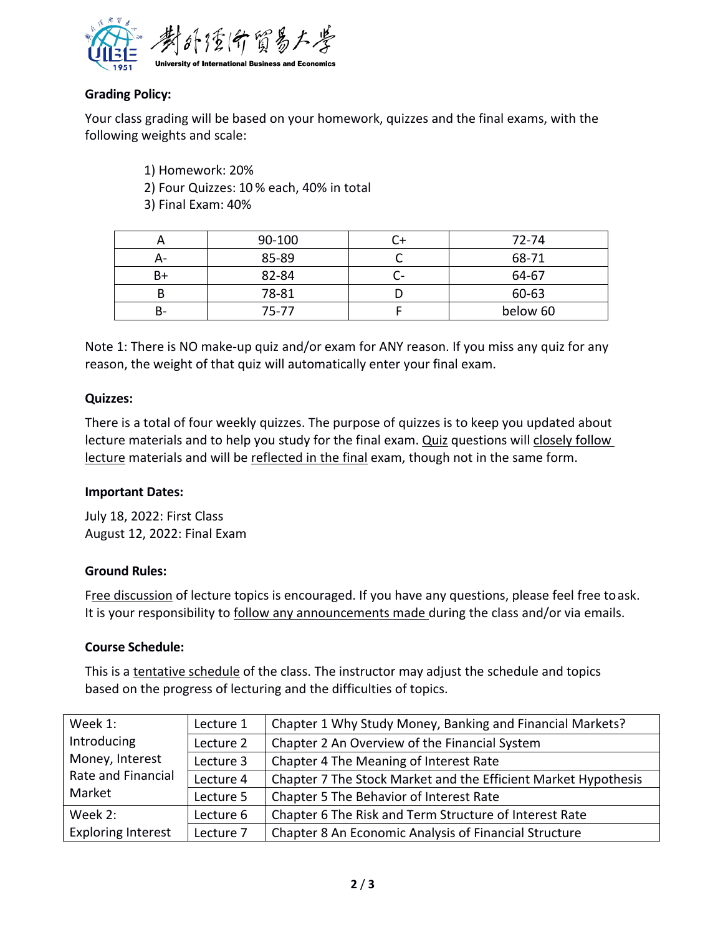

# **Grading Policy:**

Your class grading will be based on your homework, quizzes and the final exams, with the following weights and scale:

1) Homework: 20%

2) Four Quizzes: 10 % each, 40% in total

3) Final Exam: 40%

|    | 90-100    |        | 72-74    |
|----|-----------|--------|----------|
| А- | 85-89     |        | 68-71    |
| B+ | 82-84     | $\sim$ | 64-67    |
| D  | 78-81     |        | 60-63    |
| В- | $75 - 77$ |        | below 60 |

Note 1: There is NO make-up quiz and/or exam for ANY reason. If you miss any quiz for any reason, the weight of that quiz will automatically enter your final exam.

#### **Quizzes:**

There is a total of four weekly quizzes. The purpose of quizzes is to keep you updated about lecture materials and to help you study for the final exam.Quiz questions will closely follow lecture materials and will be reflected in the final exam, though not in the same form.

#### **Important Dates:**

July 18, 2022: First Class August 12, 2022: Final Exam

## **Ground Rules:**

Free discussion of lecture topics is encouraged. If you have any questions, please feel free to ask. It is your responsibility to follow any announcements made during the class and/or via emails.

#### **Course Schedule:**

This is a tentative schedule of the class. The instructor may adjust the schedule and topics based on the progress of lecturing and the difficulties of topics.

| Week 1:                      | Lecture 1 | Chapter 1 Why Study Money, Banking and Financial Markets?      |  |
|------------------------------|-----------|----------------------------------------------------------------|--|
| Introducing                  | Lecture 2 | Chapter 2 An Overview of the Financial System                  |  |
| Money, Interest              | Lecture 3 | Chapter 4 The Meaning of Interest Rate                         |  |
| Rate and Financial<br>Market | Lecture 4 | Chapter 7 The Stock Market and the Efficient Market Hypothesis |  |
|                              | Lecture 5 | Chapter 5 The Behavior of Interest Rate                        |  |
| Week 2:                      | Lecture 6 | Chapter 6 The Risk and Term Structure of Interest Rate         |  |
| <b>Exploring Interest</b>    | Lecture 7 | Chapter 8 An Economic Analysis of Financial Structure          |  |